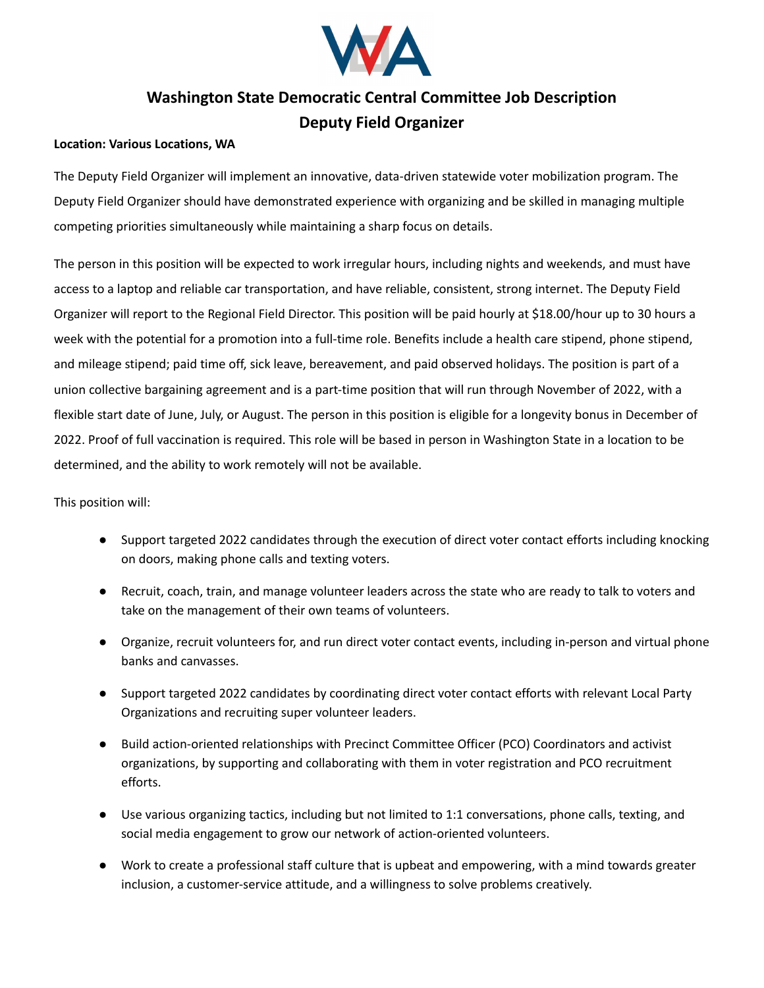

## **Washington State Democratic Central Committee Job Description Deputy Field Organizer**

## **Location: Various Locations, WA**

The Deputy Field Organizer will implement an innovative, data-driven statewide voter mobilization program. The Deputy Field Organizer should have demonstrated experience with organizing and be skilled in managing multiple competing priorities simultaneously while maintaining a sharp focus on details.

The person in this position will be expected to work irregular hours, including nights and weekends, and must have access to a laptop and reliable car transportation, and have reliable, consistent, strong internet. The Deputy Field Organizer will report to the Regional Field Director. This position will be paid hourly at \$18.00/hour up to 30 hours a week with the potential for a promotion into a full-time role. Benefits include a health care stipend, phone stipend, and mileage stipend; paid time off, sick leave, bereavement, and paid observed holidays. The position is part of a union collective bargaining agreement and is a part-time position that will run through November of 2022, with a flexible start date of June, July, or August. The person in this position is eligible for a longevity bonus in December of 2022. Proof of full vaccination is required. This role will be based in person in Washington State in a location to be determined, and the ability to work remotely will not be available.

This position will:

- Support targeted 2022 candidates through the execution of direct voter contact efforts including knocking on doors, making phone calls and texting voters.
- Recruit, coach, train, and manage volunteer leaders across the state who are ready to talk to voters and take on the management of their own teams of volunteers.
- Organize, recruit volunteers for, and run direct voter contact events, including in-person and virtual phone banks and canvasses.
- Support targeted 2022 candidates by coordinating direct voter contact efforts with relevant Local Party Organizations and recruiting super volunteer leaders.
- Build action-oriented relationships with Precinct Committee Officer (PCO) Coordinators and activist organizations, by supporting and collaborating with them in voter registration and PCO recruitment efforts.
- Use various organizing tactics, including but not limited to 1:1 conversations, phone calls, texting, and social media engagement to grow our network of action-oriented volunteers.
- Work to create a professional staff culture that is upbeat and empowering, with a mind towards greater inclusion, a customer-service attitude, and a willingness to solve problems creatively.